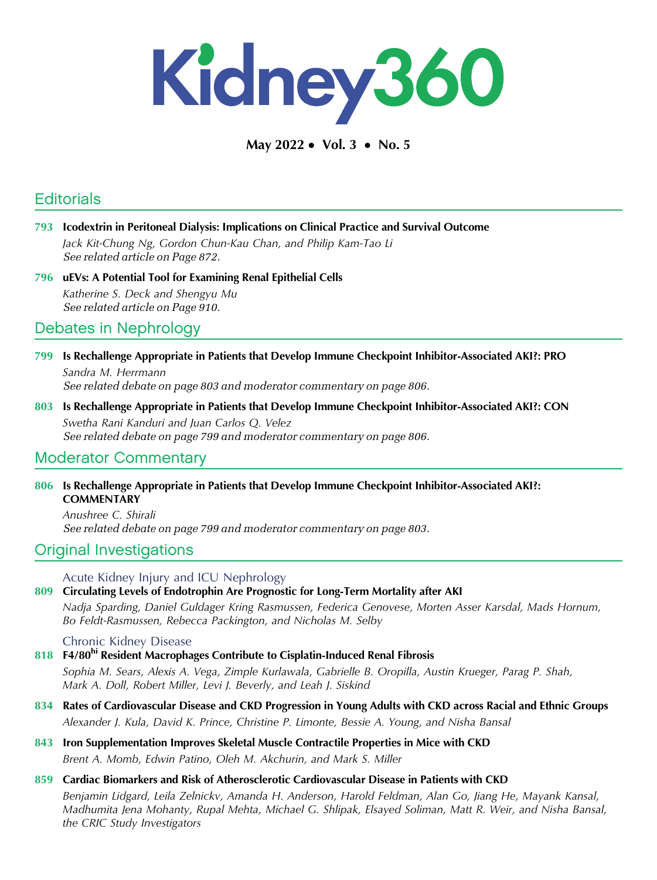

May 2022 • Vol. 3 • No. 5

# **Editorials**

- 793 Icodextrin in Peritoneal Dialysis: Implications on Clinical Practice and Survival Outcome Jack Kit-Chung Ng, Gordon Chun-Kau Chan, and Philip Kam-Tao Li See related article on Page 872.
- 796 uEVs: A Potential Tool for Examining Renal Epithelial Cells Katherine S. Deck and Shengyu Mu See related article on Page 910.

## Debates in Nephrology

- 799 Is Rechallenge Appropriate in Patients that Develop Immune Checkpoint Inhibitor-Associated AKI?: PRO Sandra M. Herrmann See related debate on page 803 and moderator commentary on page 806.
- 803 Is Rechallenge Appropriate in Patients that Develop Immune Checkpoint Inhibitor-Associated AKI?: CON Swetha Rani Kanduri and Juan Carlos Q. Velez See related debate on page 799 and moderator commentary on page 806.

## Moderator Commentary

806 Is Rechallenge Appropriate in Patients that Develop Immune Checkpoint Inhibitor-Associated AKI?: **COMMENTARY** 

Anushree C. Shirali See related debate on page 799 and moderator commentary on page 803.

## Original Investigations

Acute Kidney Injury and ICU Nephrology

### 809 Circulating Levels of Endotrophin Are Prognostic for Long-Term Mortality after AKI

Nadja Sparding, Daniel Guldager Kring Rasmussen, Federica Genovese, Morten Asser Karsdal, Mads Hornum, Bo Feldt-Rasmussen, Rebecca Packington, and Nicholas M. Selby

#### Chronic Kidney Disease

## 818 F4/80<sup>hi</sup> Resident Macrophages Contribute to Cisplatin-Induced Renal Fibrosis

Sophia M. Sears, Alexis A. Vega, Zimple Kurlawala, Gabrielle B. Oropilla, Austin Krueger, Parag P. Shah, Mark A. Doll, Robert Miller, Levi J. Beverly, and Leah J. Siskind

- 834 Rates of Cardiovascular Disease and CKD Progression in Young Adults with CKD across Racial and Ethnic Groups Alexander J. Kula, David K. Prince, Christine P. Limonte, Bessie A. Young, and Nisha Bansal
- 843 Iron Supplementation Improves Skeletal Muscle Contractile Properties in Mice with CKD Brent A. Momb, Edwin Patino, Oleh M. Akchurin, and Mark S. Miller
- 859 Cardiac Biomarkers and Risk of Atherosclerotic Cardiovascular Disease in Patients with CKD Benjamin Lidgard, Leila Zelnickv, Amanda H. Anderson, Harold Feldman, Alan Go, Jiang He, Mayank Kansal, Madhumita Jena Mohanty, Rupal Mehta, Michael G. Shlipak, Elsayed Soliman, Matt R. Weir, and Nisha Bansal, the CRIC Study Investigators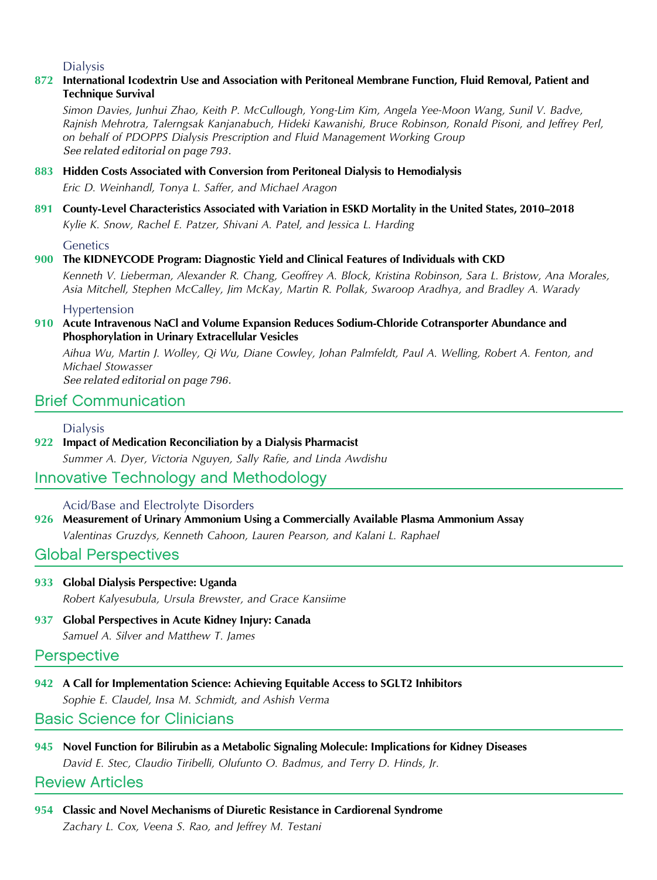### Dialysis

#### 872 International Icodextrin Use and Association with Peritoneal Membrane Function, Fluid Removal, Patient and Technique Survival

Simon Davies, Junhui Zhao, Keith P. McCullough, Yong-Lim Kim, Angela Yee-Moon Wang, Sunil V. Badve, Rajnish Mehrotra, Talerngsak Kanjanabuch, Hideki Kawanishi, Bruce Robinson, Ronald Pisoni, and Jeffrey Perl, on behalf of PDOPPS Dialysis Prescription and Fluid Management Working Group See related editorial on page 793.

### 883 Hidden Costs Associated with Conversion from Peritoneal Dialysis to Hemodialysis

Eric D. Weinhandl, Tonya L. Saffer, and Michael Aragon

## 891 County-Level Characteristics Associated with Variation in ESKD Mortality in the United States, 2010–2018 Kylie K. Snow, Rachel E. Patzer, Shivani A. Patel, and Jessica L. Harding

**Genetics** 

#### 900 The KIDNEYCODE Program: Diagnostic Yield and Clinical Features of Individuals with CKD

Kenneth V. Lieberman, Alexander R. Chang, Geoffrey A. Block, Kristina Robinson, Sara L. Bristow, Ana Morales, Asia Mitchell, Stephen McCalley, Jim McKay, Martin R. Pollak, Swaroop Aradhya, and Bradley A. Warady

Hypertension

#### 910 Acute Intravenous NaCl and Volume Expansion Reduces Sodium-Chloride Cotransporter Abundance and Phosphorylation in Urinary Extracellular Vesicles

Aihua Wu, Martin J. Wolley, Qi Wu, Diane Cowley, Johan Palmfeldt, Paul A. Welling, Robert A. Fenton, and Michael Stowasser

See related editorial on page 796.

## Brief Communication

#### Dialysis

922 Impact of Medication Reconciliation by a Dialysis Pharmacist

Summer A. Dyer, Victoria Nguyen, Sally Rafie, and Linda Awdishu

## Innovative Technology and Methodology

#### Acid/Base and Electrolyte Disorders

926 Measurement of Urinary Ammonium Using a Commercially Available Plasma Ammonium Assay Valentinas Gruzdys, Kenneth Cahoon, Lauren Pearson, and Kalani L. Raphael

## Global Perspectives

- 933 Global Dialysis Perspective: Uganda Robert Kalyesubula, Ursula Brewster, and Grace Kansiime
- 937 Global Perspectives in Acute Kidney Injury: Canada Samuel A. Silver and Matthew T. James

### **Perspective**

942 A Call for Implementation Science: Achieving Equitable Access to SGLT2 Inhibitors Sophie E. Claudel, Insa M. Schmidt, and Ashish Verma

Basic Science for Clinicians

945 Novel Function for Bilirubin as a Metabolic Signaling Molecule: Implications for Kidney Diseases David E. Stec, Claudio Tiribelli, Olufunto O. Badmus, and Terry D. Hinds, Jr.

### Review Articles

954 Classic and Novel Mechanisms of Diuretic Resistance in Cardiorenal Syndrome Zachary L. Cox, Veena S. Rao, and Jeffrey M. Testani